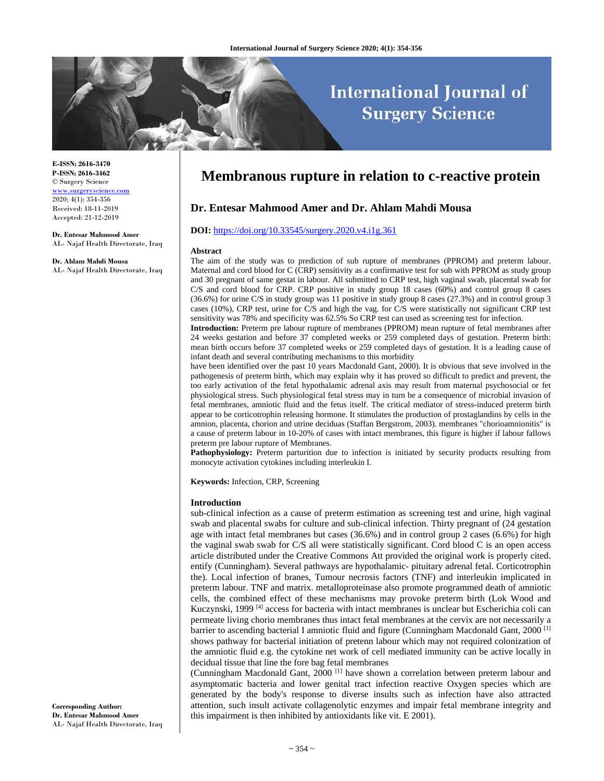# **International Journal of Surgery Science**

**E-ISSN: 2616-3470 P-ISSN: 2616-3462** © Surgery Science www.surgeryscience.com 2020; 4(1): 354-356 Received: 18-11-2019 Accepted: 21-12-2019

**Dr. Entesar Mahmood Amer**  AL- Najaf Health Directorate, Iraq

**Dr. Ahlam Mahdi Mousa** 

AL- Najaf Health Directorate, Iraq

# **Membranous rupture in relation to c-reactive protein**

# **Dr. Entesar Mahmood Amer and Dr. Ahlam Mahdi Mousa**

#### **DOI:** https://doi.org/10.33545/surgery.2020.v4.i1g.361

#### **Abstract**

The aim of the study was to prediction of sub rupture of membranes (PPROM) and preterm labour. Maternal and cord blood for C (CRP) sensitivity as a confirmative test for sub with PPROM as study group and 30 pregnant of same gestat in labour. All submitted to CRP test, high vaginal swab, placental swab for C/S and cord blood for CRP. CRP positive in study group 18 cases (60%) and control group 8 cases (36.6%) for urine C/S in study group was 11 positive in study group 8 cases (27.3%) and in control group 3 cases (10%), CRP test, urine for C/S and high the vag. for C/S were statistically not significant CRP test sensitivity was 78% and specificity was 62.5% So CRP test can used as screening test for infection.

**Introduction:** Preterm pre labour rupture of membranes (PPROM) mean rupture of fetal membranes after 24 weeks gestation and before 37 completed weeks or 259 completed days of gestation. Preterm birth: mean birth occurs before 37 completed weeks or 259 completed days of gestation. It is a leading cause of infant death and several contributing mechanisms to this morbidity

have been identified over the past 10 years Macdonald Gant, 2000). It is obvious that seve involved in the pathogenesis of preterm birth, which may explain why it has proved so difficult to predict and prevent, the too early activation of the fetal hypothalamic adrenal axis may result from maternal psychosocial or fet physiological stress. Such physiological fetal stress may in turn be a consequence of microbial invasion of fetal membranes, amniotic fluid and the fetus itself. The critical mediator of stress-induced preterm birth appear to be corticotrophin releasing hormone. It stimulates the production of prostaglandins by cells in the amnion, placenta, chorion and utrine deciduas (Staffan Bergstrom, 2003). membranes "chorioamnionitis" is a cause of preterm labour in 10-20% of cases with intact membranes, this figure is higher if labour fallows preterm pre labour rupture of Membranes.

**Pathophysiology:** Preterm parturition due to infection is initiated by security products resulting from monocyte activation cytokines including interleukin I.

**Keywords:** Infection, CRP, Screening

#### **Introduction**

sub-clinical infection as a cause of preterm estimation as screening test and urine, high vaginal swab and placental swabs for culture and sub-clinical infection. Thirty pregnant of (24 gestation age with intact fetal membranes but cases (36.6%) and in control group 2 cases (6.6%) for high the vaginal swab swab for C/S all were statistically significant. Cord blood C is an open access article distributed under the Creative Commons Att provided the original work is properly cited. entify (Cunningham). Several pathways are hypothalamic- pituitary adrenal fetal. Corticotrophin the). Local infection of branes, Tumour necrosis factors (TNF) and interleukin implicated in preterm labour. TNF and matrix. metalloproteinase also promote programmed death of amniotic cells, the combined effect of these mechanisms may provoke preterm birth (Lok Wood and Kuczynski, 1999 <sup>[4]</sup> access for bacteria with intact membranes is unclear but Escherichia coli can permeate living chorio membranes thus intact fetal membranes at the cervix are not necessarily a barrier to ascending bacterial I amniotic fluid and figure (Cunningham Macdonald Gant, 2000<sup>[1]</sup> shows pathway for bacterial initiation of pretenn labour which may not required colonization of the amniotic fluid e.g. the cytokine net work of cell mediated immunity can be active locally in decidual tissue that line the fore bag fetal membranes

(Cunningham Macdonald Gant, 2000 [1] have shown a correlation between preterm labour and asymptomatic bacteria and lower genital tract infection reactive Oxygen species which are generated by the body's response to diverse insults such as infection have also attracted attention, such insult activate collagenolytic enzymes and impair fetal membrane integrity and this impairment is then inhibited by antioxidants like vit. E 2001).

**Corresponding Author: Dr. Entesar Mahmood Amer**  AL- Najaf Health Directorate, Iraq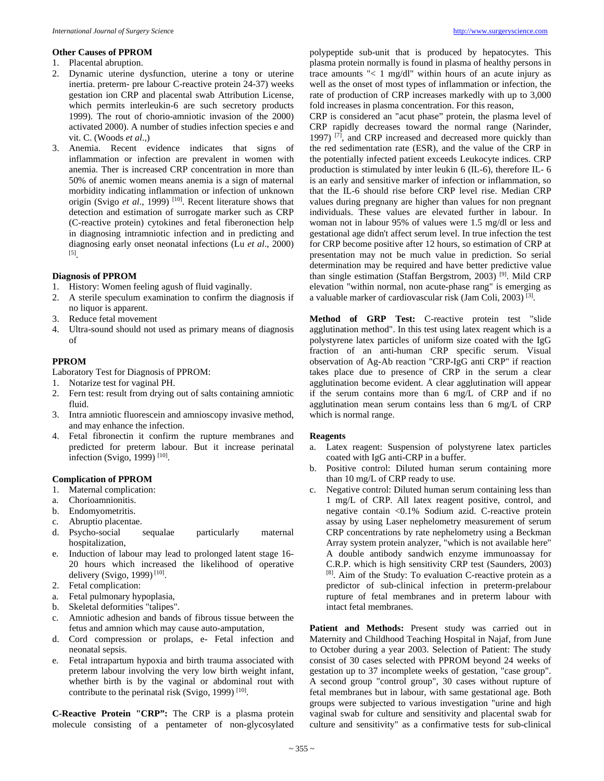#### **Other Causes of PPROM**

- 1. Placental abruption.
- 2. Dynamic uterine dysfunction, uterine a tony or uterine inertia. preterm- pre labour C-reactive protein 24-37) weeks gestation ion CRP and placental swab Attribution License, which permits interleukin-6 are such secretory products 1999). The rout of chorio-amniotic invasion of the 2000) activated 2000). A number of studies infection species e and vit. C. (Woods *et al*.,)
- Anemia. Recent evidence indicates that signs of inflammation or infection are prevalent in women with anemia. Ther is increased CRP concentration in more than 50% of anemic women means anemia is a sign of maternal morbidity indicating inflammation or infection of unknown origin (Svigo *et al*., 1999) [10]. Recent literature shows that detection and estimation of surrogate marker such as CRP (C-reactive protein) cytokines and fetal fiberonection help in diagnosing intramniotic infection and in predicting and diagnosing early onset neonatal infections (Lu *et al*., 2000) [5].

# **Diagnosis of PPROM**

- 1. History: Women feeling agush of fluid vaginally.
- 2. A sterile speculum examination to confirm the diagnosis if no liquor is apparent.
- 3. Reduce fetal movement
- 4. Ultra-sound should not used as primary means of diagnosis of

#### **PPROM**

Laboratory Test for Diagnosis of PPROM:

- 1. Notarize test for vaginal PH.
- 2. Fern test: result from drying out of salts containing amniotic fluid.
- 3. Intra amniotic fluorescein and amnioscopy invasive method, and may enhance the infection.
- 4. Fetal fibronectin it confirm the rupture membranes and predicted for preterm labour. But it increase perinatal infection (Svigo, 1999) [10].

#### **Complication of PPROM**

- 1. Maternal complication:
- a. Chorioamnionitis.
- b. Endomyometritis.
- c. Abruptio placentae.
- d. Psycho-social sequalae particularly maternal hospitalization,
- e. Induction of labour may lead to prolonged latent stage 16- 20 hours which increased the likelihood of operative delivery (Svigo, 1999)<sup>[10]</sup>.
- 2. Fetal complication:
- a. Fetal pulmonary hypoplasia,
- b. Skeletal deformities "talipes".
- c. Amniotic adhesion and bands of fibrous tissue between the fetus and amnion which may cause auto-amputation,
- d. Cord compression or prolaps, e- Fetal infection and neonatal sepsis.
- e. Fetal intrapartum hypoxia and birth trauma associated with preterm labour involving the very low birth weight infant, whether birth is by the vaginal or abdominal rout with contribute to the perinatal risk (Svigo, 1999)<sup>[10]</sup>.

**C-Reactive Protein "CRP":** The CRP is a plasma protein molecule consisting of a pentameter of non-glycosylated

polypeptide sub-unit that is produced by hepatocytes. This plasma protein normally is found in plasma of healthy persons in trace amounts "< 1 mg/dl" within hours of an acute injury as well as the onset of most types of inflammation or infection, the rate of production of CRP increases markedly with up to 3,000 fold increases in plasma concentration. For this reason,

CRP is considered an "acut phase" protein, the plasma level of CRP rapidly decreases toward the normal range (Narinder, 1997) [7], and CRP increased and decreased more quickly than the red sedimentation rate (ESR), and the value of the CRP in the potentially infected patient exceeds Leukocyte indices. CRP production is stimulated by inter leukin 6 (IL-6), therefore IL- 6 is an early and sensitive marker of infection or inflammation, so that the IL-6 should rise before CRP level rise. Median CRP values during pregnany are higher than values for non pregnant individuals. These values are elevated further in labour. In woman not in labour 95% of values were 1.5 mg/dl or less and gestational age didn't affect serum level. In true infection the test for CRP become positive after 12 hours, so estimation of CRP at presentation may not be much value in prediction. So serial determination may be required and have better predictive value than single estimation (Staffan Bergstrom, 2003) [9]. Mild CRP elevation "within normal, non acute-phase rang" is emerging as a valuable marker of cardiovascular risk (Jam Coli, 2003) [3].

**Method of GRP Test:** C-reactive protein test "slide agglutination method". In this test using latex reagent which is a polystyrene latex particles of uniform size coated with the IgG fraction of an anti-human CRP specific serum. Visual observation of Ag-Ab reaction "CRP-IgG anti CRP" if reaction takes place due to presence of CRP in the serum a clear agglutination become evident. A clear agglutination will appear if the serum contains more than 6 mg/L of CRP and if no agglutination mean serum contains less than 6 mg/L of CRP which is normal range.

#### **Reagents**

- a. Latex reagent: Suspension of polystyrene latex particles coated with IgG anti-CRP in a buffer.
- b. Positive control: Diluted human serum containing more than 10 mg/L of CRP ready to use.
- c. Negative control: Diluted human serum containing less than 1 mg/L of CRP. All latex reagent positive, control, and negative contain <0.1% Sodium azid. C-reactive protein assay by using Laser nephelometry measurement of serum CRP concentrations by rate nephelometry using a Beckman Array system protein analyzer, "which is not available here" A double antibody sandwich enzyme immunoassay for C.R.P. which is high sensitivity CRP test (Saunders, 2003) [8]. Aim of the Study: To evaluation C-reactive protein as a predictor of sub-clinical infection in preterm-prelabour rupture of fetal membranes and in preterm labour with intact fetal membranes.

Patient and Methods: Present study was carried out in Maternity and Childhood Teaching Hospital in Najaf, from June to October during a year 2003. Selection of Patient: The study consist of 30 cases selected with PPROM beyond 24 weeks of gestation up to 37 incomplete weeks of gestation, "case group". A second group "control group", 30 cases without rupture of fetal membranes but in labour, with same gestational age. Both groups were subjected to various investigation "urine and high vaginal swab for culture and sensitivity and placental swab for culture and sensitivity" as a confirmative tests for sub-clinical